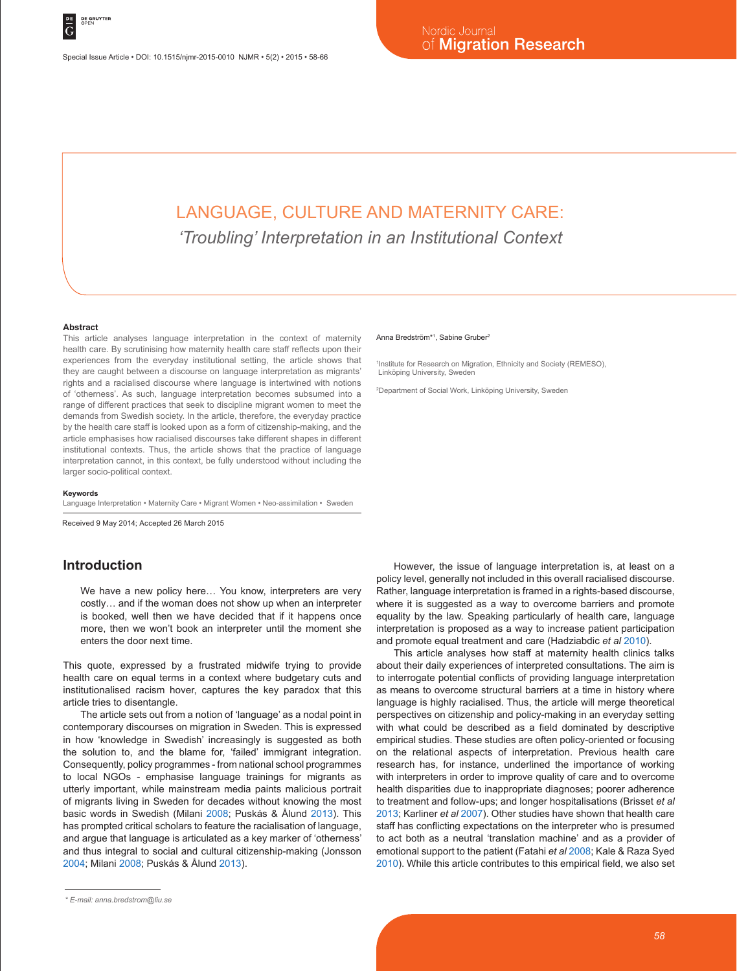Special Issue Article • DOI: 10.1515/njmr-2015-0010 NJMR • 5(2) • 2015 • 58-66

# LANGUAGE, CULTURE AND MATERNITY CARE: *'Troubling' Interpretation in an Institutional Context*

#### **Abstract**

This article analyses language interpretation in the context of maternity health care. By scrutinising how maternity health care staff reflects upon their experiences from the everyday institutional setting, the article shows that they are caught between a discourse on language interpretation as migrants' rights and a racialised discourse where language is intertwined with notions of 'otherness'. As such, language interpretation becomes subsumed into a range of different practices that seek to discipline migrant women to meet the demands from Swedish society. In the article, therefore, the everyday practice by the health care staff is looked upon as a form of citizenship-making, and the article emphasises how racialised discourses take different shapes in different institutional contexts. Thus, the article shows that the practice of language interpretation cannot, in this context, be fully understood without including the larger socio-political context.

#### **Keywords**

Language Interpretation • Maternity Care • Migrant Women • Neo-assimilation • Sweden

Received 9 May 2014; Accepted 26 March 2015

# **Introduction**

We have a new policy here… You know, interpreters are very costly… and if the woman does not show up when an interpreter is booked, well then we have decided that if it happens once more, then we won't book an interpreter until the moment she enters the door next time.

This quote, expressed by a frustrated midwife trying to provide health care on equal terms in a context where budgetary cuts and institutionalised racism hover, captures the key paradox that this article tries to disentangle.

The article sets out from a notion of 'language' as a nodal point in contemporary discourses on migration in Sweden. This is expressed in how 'knowledge in Swedish' increasingly is suggested as both the solution to, and the blame for, 'failed' immigrant integration. Consequently, policy programmes - from national school programmes to local NGOs - emphasise language trainings for migrants as utterly important, while mainstream media paints malicious portrait of migrants living in Sweden for decades without knowing the most basic words in Swedish (Milani 2008; Puskás & Ålund 2013). This has prompted critical scholars to feature the racialisation of language, and argue that language is articulated as a key marker of 'otherness' and thus integral to social and cultural citizenship-making (Jonsson 2004; Milani 2008; Puskás & Ålund 2013).

#### Anna Bredström\*1, Sabine Gruber<sup>2</sup>

1 Institute for Research on Migration, Ethnicity and Society (REMESO), Linköping University, Sweden

2 Department of Social Work, Linköping University, Sweden

However, the issue of language interpretation is, at least on a policy level, generally not included in this overall racialised discourse. Rather, language interpretation is framed in a rights-based discourse, where it is suggested as a way to overcome barriers and promote equality by the law. Speaking particularly of health care, language interpretation is proposed as a way to increase patient participation and promote equal treatment and care (Hadziabdic *et al* 2010).

This article analyses how staff at maternity health clinics talks about their daily experiences of interpreted consultations. The aim is to interrogate potential conflicts of providing language interpretation as means to overcome structural barriers at a time in history where language is highly racialised. Thus, the article will merge theoretical perspectives on citizenship and policy-making in an everyday setting with what could be described as a field dominated by descriptive empirical studies. These studies are often policy-oriented or focusing on the relational aspects of interpretation. Previous health care research has, for instance, underlined the importance of working with interpreters in order to improve quality of care and to overcome health disparities due to inappropriate diagnoses; poorer adherence to treatment and follow-ups; and longer hospitalisations (Brisset *et al* 2013; Karliner *et al* 2007). Other studies have shown that health care staff has conflicting expectations on the interpreter who is presumed to act both as a neutral 'translation machine' and as a provider of emotional support to the patient (Fatahi *et al* 2008; Kale & Raza Syed 2010). While this article contributes to this empirical field, we also set

*<sup>\*</sup> E-mail: anna.bredstrom@liu.se*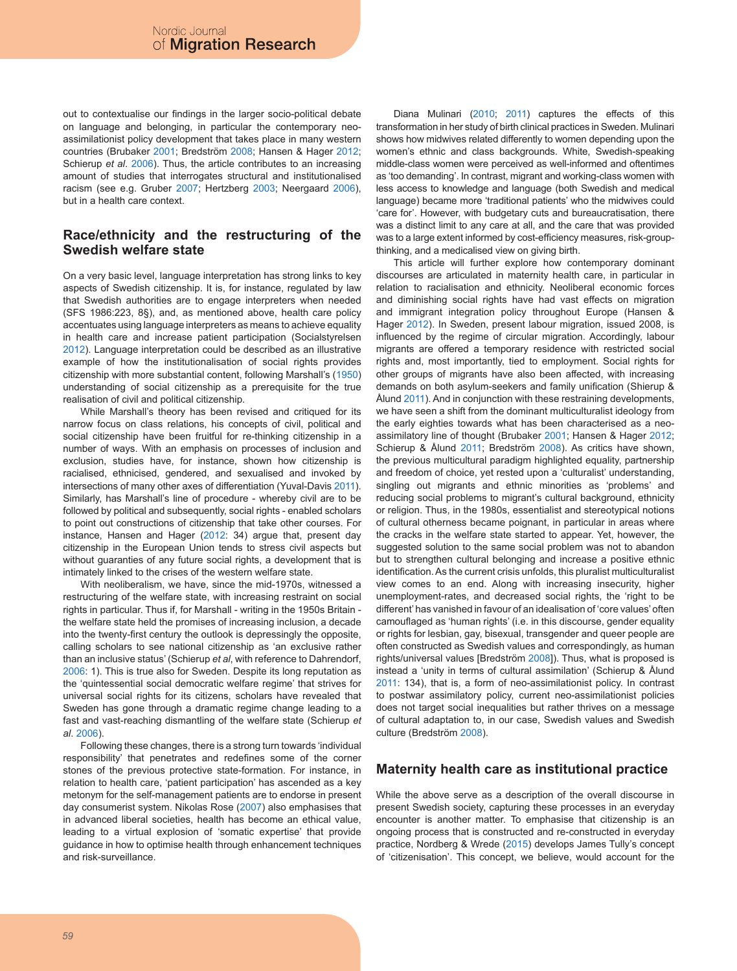out to contextualise our findings in the larger socio-political debate on language and belonging, in particular the contemporary neoassimilationist policy development that takes place in many western countries (Brubaker 2001; Bredström 2008; Hansen & Hager 2012; Schierup *et al*. 2006). Thus, the article contributes to an increasing amount of studies that interrogates structural and institutionalised racism (see e.g. Gruber 2007; Hertzberg 2003; Neergaard 2006), but in a health care context.

### **Race/ethnicity and the restructuring of the Swedish welfare state**

On a very basic level, language interpretation has strong links to key aspects of Swedish citizenship. It is, for instance, regulated by law that Swedish authorities are to engage interpreters when needed (SFS 1986:223, 8§), and, as mentioned above, health care policy accentuates using language interpreters as means to achieve equality in health care and increase patient participation (Socialstyrelsen 2012). Language interpretation could be described as an illustrative example of how the institutionalisation of social rights provides citizenship with more substantial content, following Marshall's (1950) understanding of social citizenship as a prerequisite for the true realisation of civil and political citizenship.

While Marshall's theory has been revised and critiqued for its narrow focus on class relations, his concepts of civil, political and social citizenship have been fruitful for re-thinking citizenship in a number of ways. With an emphasis on processes of inclusion and exclusion, studies have, for instance, shown how citizenship is racialised, ethnicised, gendered, and sexualised and invoked by intersections of many other axes of differentiation (Yuval-Davis 2011). Similarly, has Marshall's line of procedure - whereby civil are to be followed by political and subsequently, social rights - enabled scholars to point out constructions of citizenship that take other courses. For instance, Hansen and Hager (2012: 34) argue that, present day citizenship in the European Union tends to stress civil aspects but without guaranties of any future social rights, a development that is intimately linked to the crises of the western welfare state.

With neoliberalism, we have, since the mid-1970s, witnessed a restructuring of the welfare state, with increasing restraint on social rights in particular. Thus if, for Marshall - writing in the 1950s Britain the welfare state held the promises of increasing inclusion, a decade into the twenty-first century the outlook is depressingly the opposite, calling scholars to see national citizenship as 'an exclusive rather than an inclusive status' (Schierup *et al*, with reference to Dahrendorf, 2006: 1). This is true also for Sweden. Despite its long reputation as the 'quintessential social democratic welfare regime' that strives for universal social rights for its citizens, scholars have revealed that Sweden has gone through a dramatic regime change leading to a fast and vast-reaching dismantling of the welfare state (Schierup *et al*. 2006).

Following these changes, there is a strong turn towards 'individual responsibility' that penetrates and redefines some of the corner stones of the previous protective state-formation. For instance, in relation to health care, 'patient participation' has ascended as a key metonym for the self-management patients are to endorse in present day consumerist system. Nikolas Rose (2007) also emphasises that in advanced liberal societies, health has become an ethical value, leading to a virtual explosion of 'somatic expertise' that provide guidance in how to optimise health through enhancement techniques and risk-surveillance.

Diana Mulinari (2010; 2011) captures the effects of this transformation in her study of birth clinical practices in Sweden. Mulinari shows how midwives related differently to women depending upon the women's ethnic and class backgrounds. White, Swedish-speaking middle-class women were perceived as well-informed and oftentimes as 'too demanding'. In contrast, migrant and working-class women with less access to knowledge and language (both Swedish and medical language) became more 'traditional patients' who the midwives could 'care for'. However, with budgetary cuts and bureaucratisation, there was a distinct limit to any care at all, and the care that was provided was to a large extent informed by cost-efficiency measures, risk-groupthinking, and a medicalised view on giving birth.

This article will further explore how contemporary dominant discourses are articulated in maternity health care, in particular in relation to racialisation and ethnicity. Neoliberal economic forces and diminishing social rights have had vast effects on migration and immigrant integration policy throughout Europe (Hansen & Hager 2012). In Sweden, present labour migration, issued 2008, is influenced by the regime of circular migration. Accordingly, labour migrants are offered a temporary residence with restricted social rights and, most importantly, tied to employment. Social rights for other groups of migrants have also been affected, with increasing demands on both asylum-seekers and family unification (Shierup & Ålund 2011). And in conjunction with these restraining developments, we have seen a shift from the dominant multiculturalist ideology from the early eighties towards what has been characterised as a neoassimilatory line of thought (Brubaker 2001; Hansen & Hager 2012; Schierup & Ålund 2011; Bredström 2008). As critics have shown, the previous multicultural paradigm highlighted equality, partnership and freedom of choice, yet rested upon a 'culturalist' understanding, singling out migrants and ethnic minorities as 'problems' and reducing social problems to migrant's cultural background, ethnicity or religion. Thus, in the 1980s, essentialist and stereotypical notions of cultural otherness became poignant, in particular in areas where the cracks in the welfare state started to appear. Yet, however, the suggested solution to the same social problem was not to abandon but to strengthen cultural belonging and increase a positive ethnic identification. As the current crisis unfolds, this pluralist multiculturalist view comes to an end. Along with increasing insecurity, higher unemployment-rates, and decreased social rights, the 'right to be different' has vanished in favour of an idealisation of 'core values' often camouflaged as 'human rights' (i.e. in this discourse, gender equality or rights for lesbian, gay, bisexual, transgender and queer people are often constructed as Swedish values and correspondingly, as human rights/universal values [Bredström 2008]). Thus, what is proposed is instead a 'unity in terms of cultural assimilation' (Schierup & Ålund 2011: 134), that is, a form of neo-assimilationist policy. In contrast to postwar assimilatory policy, current neo-assimilationist policies does not target social inequalities but rather thrives on a message of cultural adaptation to, in our case, Swedish values and Swedish culture (Bredström 2008).

### **Maternity health care as institutional practice**

While the above serve as a description of the overall discourse in present Swedish society, capturing these processes in an everyday encounter is another matter. To emphasise that citizenship is an ongoing process that is constructed and re-constructed in everyday practice, Nordberg & Wrede (2015) develops James Tully's concept of 'citizenisation'. This concept, we believe, would account for the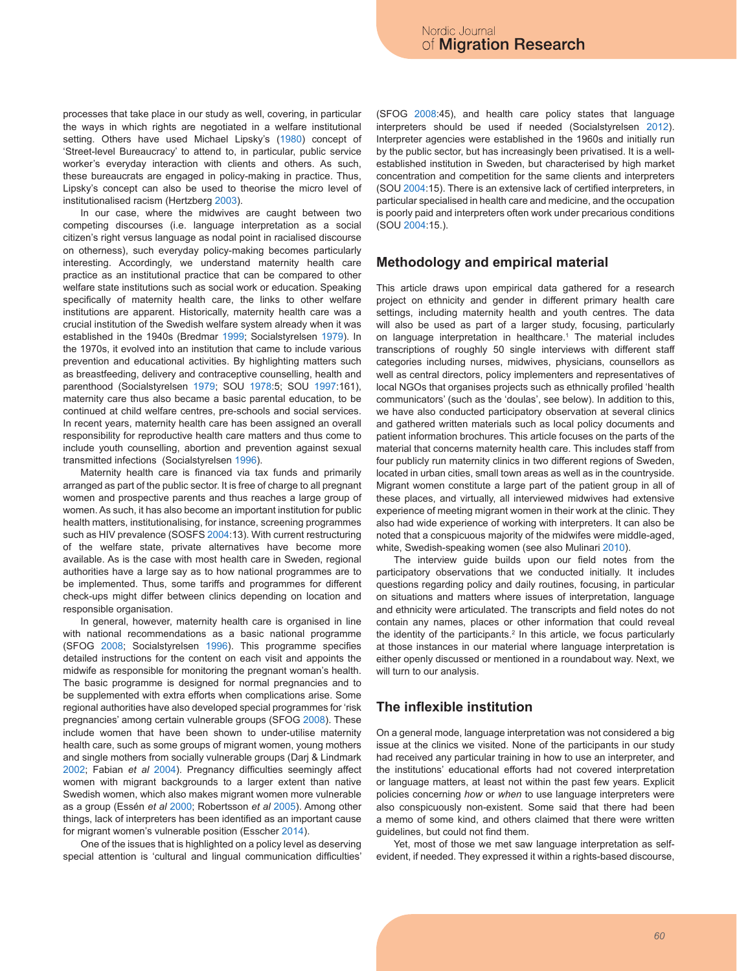processes that take place in our study as well, covering, in particular the ways in which rights are negotiated in a welfare institutional setting. Others have used Michael Lipsky's (1980) concept of 'Street-level Bureaucracy' to attend to, in particular, public service worker's everyday interaction with clients and others. As such, these bureaucrats are engaged in policy-making in practice. Thus, Lipsky's concept can also be used to theorise the micro level of institutionalised racism (Hertzberg 2003).

In our case, where the midwives are caught between two competing discourses (i.e. language interpretation as a social citizen's right versus language as nodal point in racialised discourse on otherness), such everyday policy-making becomes particularly interesting. Accordingly, we understand maternity health care practice as an institutional practice that can be compared to other welfare state institutions such as social work or education. Speaking specifically of maternity health care, the links to other welfare institutions are apparent. Historically, maternity health care was a crucial institution of the Swedish welfare system already when it was established in the 1940s (Bredmar 1999; Socialstyrelsen 1979). In the 1970s, it evolved into an institution that came to include various prevention and educational activities. By highlighting matters such as breastfeeding, delivery and contraceptive counselling, health and parenthood (Socialstyrelsen 1979; SOU 1978:5; SOU 1997:161), maternity care thus also became a basic parental education, to be continued at child welfare centres, pre-schools and social services. In recent years, maternity health care has been assigned an overall responsibility for reproductive health care matters and thus come to include youth counselling, abortion and prevention against sexual transmitted infections (Socialstyrelsen 1996).

Maternity health care is financed via tax funds and primarily arranged as part of the public sector. It is free of charge to all pregnant women and prospective parents and thus reaches a large group of women. As such, it has also become an important institution for public health matters, institutionalising, for instance, screening programmes such as HIV prevalence (SOSFS 2004:13). With current restructuring of the welfare state, private alternatives have become more available. As is the case with most health care in Sweden, regional authorities have a large say as to how national programmes are to be implemented. Thus, some tariffs and programmes for different check-ups might differ between clinics depending on location and responsible organisation.

In general, however, maternity health care is organised in line with national recommendations as a basic national programme (SFOG 2008; Socialstyrelsen 1996). This programme specifies detailed instructions for the content on each visit and appoints the midwife as responsible for monitoring the pregnant woman's health. The basic programme is designed for normal pregnancies and to be supplemented with extra efforts when complications arise. Some regional authorities have also developed special programmes for 'risk pregnancies' among certain vulnerable groups (SFOG 2008). These include women that have been shown to under-utilise maternity health care, such as some groups of migrant women, young mothers and single mothers from socially vulnerable groups (Darj & Lindmark 2002; Fabian *et al* 2004). Pregnancy difficulties seemingly affect women with migrant backgrounds to a larger extent than native Swedish women, which also makes migrant women more vulnerable as a group (Essén *et al* 2000; Robertsson *et al* 2005). Among other things, lack of interpreters has been identified as an important cause for migrant women's vulnerable position (Esscher 2014).

One of the issues that is highlighted on a policy level as deserving special attention is 'cultural and lingual communication difficulties' (SFOG 2008:45), and health care policy states that language interpreters should be used if needed (Socialstyrelsen 2012). Interpreter agencies were established in the 1960s and initially run by the public sector, but has increasingly been privatised. It is a wellestablished institution in Sweden, but characterised by high market concentration and competition for the same clients and interpreters (SOU 2004:15). There is an extensive lack of certified interpreters, in particular specialised in health care and medicine, and the occupation is poorly paid and interpreters often work under precarious conditions (SOU 2004:15.).

#### **Methodology and empirical material**

This article draws upon empirical data gathered for a research project on ethnicity and gender in different primary health care settings, including maternity health and youth centres. The data will also be used as part of a larger study, focusing, particularly on language interpretation in healthcare.<sup>1</sup> The material includes transcriptions of roughly 50 single interviews with different staff categories including nurses, midwives, physicians, counsellors as well as central directors, policy implementers and representatives of local NGOs that organises projects such as ethnically profiled 'health communicators' (such as the 'doulas', see below). In addition to this, we have also conducted participatory observation at several clinics and gathered written materials such as local policy documents and patient information brochures. This article focuses on the parts of the material that concerns maternity health care. This includes staff from four publicly run maternity clinics in two different regions of Sweden, located in urban cities, small town areas as well as in the countryside. Migrant women constitute a large part of the patient group in all of these places, and virtually, all interviewed midwives had extensive experience of meeting migrant women in their work at the clinic. They also had wide experience of working with interpreters. It can also be noted that a conspicuous majority of the midwifes were middle-aged, white, Swedish-speaking women (see also Mulinari 2010).

The interview guide builds upon our field notes from the participatory observations that we conducted initially. It includes questions regarding policy and daily routines, focusing, in particular on situations and matters where issues of interpretation, language and ethnicity were articulated. The transcripts and field notes do not contain any names, places or other information that could reveal the identity of the participants. $2$  In this article, we focus particularly at those instances in our material where language interpretation is either openly discussed or mentioned in a roundabout way. Next, we will turn to our analysis.

# **The inflexible institution**

On a general mode, language interpretation was not considered a big issue at the clinics we visited. None of the participants in our study had received any particular training in how to use an interpreter, and the institutions' educational efforts had not covered interpretation or language matters, at least not within the past few years. Explicit policies concerning *how* or *when* to use language interpreters were also conspicuously non-existent. Some said that there had been a memo of some kind, and others claimed that there were written guidelines, but could not find them.

Yet, most of those we met saw language interpretation as selfevident, if needed. They expressed it within a rights-based discourse,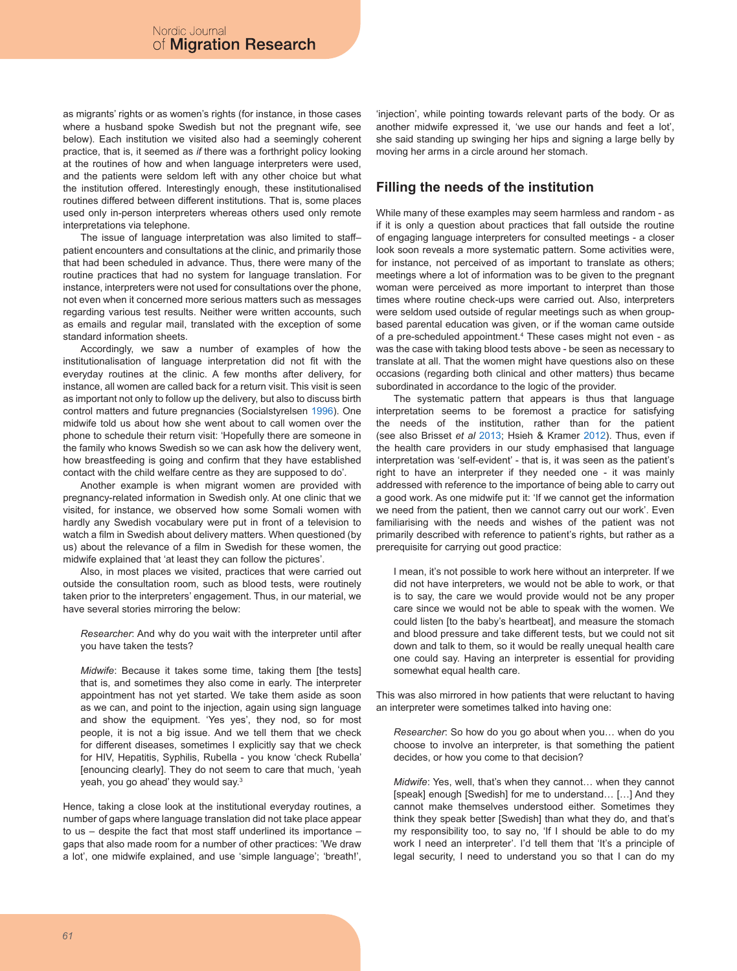as migrants' rights or as women's rights (for instance, in those cases where a husband spoke Swedish but not the pregnant wife, see below). Each institution we visited also had a seemingly coherent practice, that is, it seemed as *if* there was a forthright policy looking at the routines of how and when language interpreters were used, and the patients were seldom left with any other choice but what the institution offered. Interestingly enough, these institutionalised routines differed between different institutions. That is, some places used only in-person interpreters whereas others used only remote interpretations via telephone.

The issue of language interpretation was also limited to staff– patient encounters and consultations at the clinic, and primarily those that had been scheduled in advance. Thus, there were many of the routine practices that had no system for language translation. For instance, interpreters were not used for consultations over the phone, not even when it concerned more serious matters such as messages regarding various test results. Neither were written accounts, such as emails and regular mail, translated with the exception of some standard information sheets.

Accordingly, we saw a number of examples of how the institutionalisation of language interpretation did not fit with the everyday routines at the clinic. A few months after delivery, for instance, all women are called back for a return visit. This visit is seen as important not only to follow up the delivery, but also to discuss birth control matters and future pregnancies (Socialstyrelsen 1996). One midwife told us about how she went about to call women over the phone to schedule their return visit: 'Hopefully there are someone in the family who knows Swedish so we can ask how the delivery went, how breastfeeding is going and confirm that they have established contact with the child welfare centre as they are supposed to do'.

Another example is when migrant women are provided with pregnancy-related information in Swedish only. At one clinic that we visited, for instance, we observed how some Somali women with hardly any Swedish vocabulary were put in front of a television to watch a film in Swedish about delivery matters. When questioned (by us) about the relevance of a film in Swedish for these women, the midwife explained that 'at least they can follow the pictures'.

Also, in most places we visited, practices that were carried out outside the consultation room, such as blood tests, were routinely taken prior to the interpreters' engagement. Thus, in our material, we have several stories mirroring the below:

*Researcher*: And why do you wait with the interpreter until after you have taken the tests?

*Midwife*: Because it takes some time, taking them [the tests] that is, and sometimes they also come in early. The interpreter appointment has not yet started. We take them aside as soon as we can, and point to the injection, again using sign language and show the equipment. 'Yes yes', they nod, so for most people, it is not a big issue. And we tell them that we check for different diseases, sometimes I explicitly say that we check for HIV, Hepatitis, Syphilis, Rubella - you know 'check Rubella' [enouncing clearly]. They do not seem to care that much, 'yeah yeah, you go ahead' they would say.3

Hence, taking a close look at the institutional everyday routines, a number of gaps where language translation did not take place appear to us – despite the fact that most staff underlined its importance – gaps that also made room for a number of other practices: 'We draw a lot', one midwife explained, and use 'simple language'; 'breath!', 'injection', while pointing towards relevant parts of the body. Or as another midwife expressed it, 'we use our hands and feet a lot', she said standing up swinging her hips and signing a large belly by moving her arms in a circle around her stomach.

# **Filling the needs of the institution**

While many of these examples may seem harmless and random - as if it is only a question about practices that fall outside the routine of engaging language interpreters for consulted meetings - a closer look soon reveals a more systematic pattern. Some activities were, for instance, not perceived of as important to translate as others; meetings where a lot of information was to be given to the pregnant woman were perceived as more important to interpret than those times where routine check-ups were carried out. Also, interpreters were seldom used outside of regular meetings such as when groupbased parental education was given, or if the woman came outside of a pre-scheduled appointment.4 These cases might not even - as was the case with taking blood tests above - be seen as necessary to translate at all. That the women might have questions also on these occasions (regarding both clinical and other matters) thus became subordinated in accordance to the logic of the provider.

The systematic pattern that appears is thus that language interpretation seems to be foremost a practice for satisfying the needs of the institution, rather than for the patient (see also Brisset *et al* 2013; Hsieh & Kramer 2012). Thus, even if the health care providers in our study emphasised that language interpretation was 'self-evident' - that is, it was seen as the patient's right to have an interpreter if they needed one - it was mainly addressed with reference to the importance of being able to carry out a good work. As one midwife put it: 'If we cannot get the information we need from the patient, then we cannot carry out our work'. Even familiarising with the needs and wishes of the patient was not primarily described with reference to patient's rights, but rather as a prerequisite for carrying out good practice:

I mean, it's not possible to work here without an interpreter. If we did not have interpreters, we would not be able to work, or that is to say, the care we would provide would not be any proper care since we would not be able to speak with the women. We could listen [to the baby's heartbeat], and measure the stomach and blood pressure and take different tests, but we could not sit down and talk to them, so it would be really unequal health care one could say. Having an interpreter is essential for providing somewhat equal health care.

This was also mirrored in how patients that were reluctant to having an interpreter were sometimes talked into having one:

*Researcher*: So how do you go about when you… when do you choose to involve an interpreter, is that something the patient decides, or how you come to that decision?

*Midwife*: Yes, well, that's when they cannot… when they cannot [speak] enough [Swedish] for me to understand… […] And they cannot make themselves understood either. Sometimes they think they speak better [Swedish] than what they do, and that's my responsibility too, to say no, 'If I should be able to do my work I need an interpreter'. I'd tell them that 'It's a principle of legal security, I need to understand you so that I can do my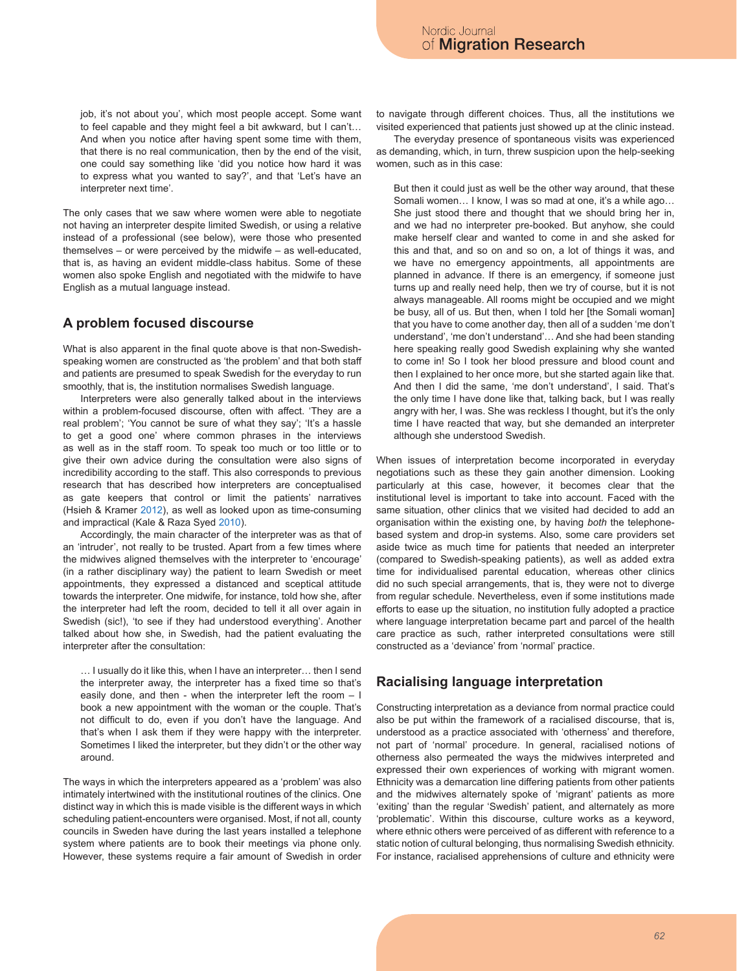job, it's not about you', which most people accept. Some want to feel capable and they might feel a bit awkward, but I can't… And when you notice after having spent some time with them, that there is no real communication, then by the end of the visit, one could say something like 'did you notice how hard it was to express what you wanted to say?', and that 'Let's have an interpreter next time'.

The only cases that we saw where women were able to negotiate not having an interpreter despite limited Swedish, or using a relative instead of a professional (see below), were those who presented themselves – or were perceived by the midwife – as well-educated, that is, as having an evident middle-class habitus. Some of these women also spoke English and negotiated with the midwife to have English as a mutual language instead.

### **A problem focused discourse**

What is also apparent in the final quote above is that non-Swedishspeaking women are constructed as 'the problem' and that both staff and patients are presumed to speak Swedish for the everyday to run smoothly, that is, the institution normalises Swedish language.

Interpreters were also generally talked about in the interviews within a problem-focused discourse, often with affect. 'They are a real problem'; 'You cannot be sure of what they say'; 'It's a hassle to get a good one' where common phrases in the interviews as well as in the staff room. To speak too much or too little or to give their own advice during the consultation were also signs of incredibility according to the staff. This also corresponds to previous research that has described how interpreters are conceptualised as gate keepers that control or limit the patients' narratives (Hsieh & Kramer 2012), as well as looked upon as time-consuming and impractical (Kale & Raza Syed 2010).

Accordingly, the main character of the interpreter was as that of an 'intruder', not really to be trusted. Apart from a few times where the midwives aligned themselves with the interpreter to 'encourage' (in a rather disciplinary way) the patient to learn Swedish or meet appointments, they expressed a distanced and sceptical attitude towards the interpreter. One midwife, for instance, told how she, after the interpreter had left the room, decided to tell it all over again in Swedish (sic!), 'to see if they had understood everything'. Another talked about how she, in Swedish, had the patient evaluating the interpreter after the consultation:

… I usually do it like this, when I have an interpreter… then I send the interpreter away, the interpreter has a fixed time so that's easily done, and then - when the interpreter left the room – I book a new appointment with the woman or the couple. That's not difficult to do, even if you don't have the language. And that's when I ask them if they were happy with the interpreter. Sometimes I liked the interpreter, but they didn't or the other way around.

The ways in which the interpreters appeared as a 'problem' was also intimately intertwined with the institutional routines of the clinics. One distinct way in which this is made visible is the different ways in which scheduling patient-encounters were organised. Most, if not all, county councils in Sweden have during the last years installed a telephone system where patients are to book their meetings via phone only. However, these systems require a fair amount of Swedish in order to navigate through different choices. Thus, all the institutions we visited experienced that patients just showed up at the clinic instead.

The everyday presence of spontaneous visits was experienced as demanding, which, in turn, threw suspicion upon the help-seeking women, such as in this case:

But then it could just as well be the other way around, that these Somali women… I know, I was so mad at one, it's a while ago… She just stood there and thought that we should bring her in, and we had no interpreter pre-booked. But anyhow, she could make herself clear and wanted to come in and she asked for this and that, and so on and so on, a lot of things it was, and we have no emergency appointments, all appointments are planned in advance. If there is an emergency, if someone just turns up and really need help, then we try of course, but it is not always manageable. All rooms might be occupied and we might be busy, all of us. But then, when I told her [the Somali woman] that you have to come another day, then all of a sudden 'me don't understand', 'me don't understand'… And she had been standing here speaking really good Swedish explaining why she wanted to come in! So I took her blood pressure and blood count and then I explained to her once more, but she started again like that. And then I did the same, 'me don't understand', I said. That's the only time I have done like that, talking back, but I was really angry with her, I was. She was reckless I thought, but it's the only time I have reacted that way, but she demanded an interpreter although she understood Swedish.

When issues of interpretation become incorporated in everyday negotiations such as these they gain another dimension. Looking particularly at this case, however, it becomes clear that the institutional level is important to take into account. Faced with the same situation, other clinics that we visited had decided to add an organisation within the existing one, by having *both* the telephonebased system and drop-in systems. Also, some care providers set aside twice as much time for patients that needed an interpreter (compared to Swedish-speaking patients), as well as added extra time for individualised parental education, whereas other clinics did no such special arrangements, that is, they were not to diverge from regular schedule. Nevertheless, even if some institutions made efforts to ease up the situation, no institution fully adopted a practice where language interpretation became part and parcel of the health care practice as such, rather interpreted consultations were still constructed as a 'deviance' from 'normal' practice.

# **Racialising language interpretation**

Constructing interpretation as a deviance from normal practice could also be put within the framework of a racialised discourse, that is, understood as a practice associated with 'otherness' and therefore, not part of 'normal' procedure. In general, racialised notions of otherness also permeated the ways the midwives interpreted and expressed their own experiences of working with migrant women. Ethnicity was a demarcation line differing patients from other patients and the midwives alternately spoke of 'migrant' patients as more 'exiting' than the regular 'Swedish' patient, and alternately as more 'problematic'. Within this discourse, culture works as a keyword, where ethnic others were perceived of as different with reference to a static notion of cultural belonging, thus normalising Swedish ethnicity. For instance, racialised apprehensions of culture and ethnicity were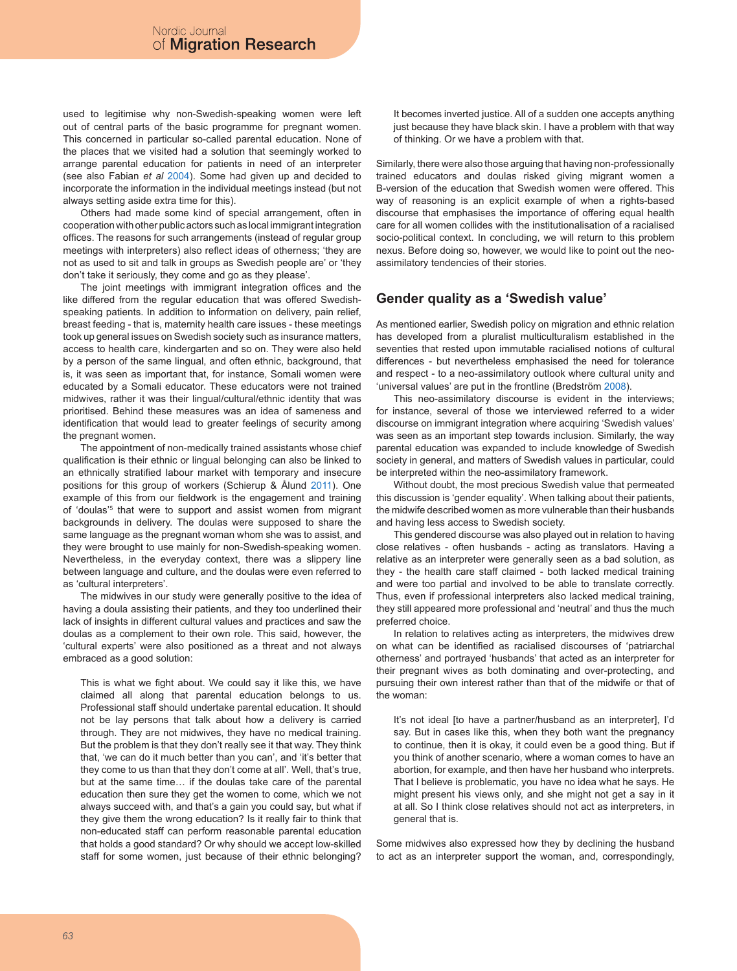used to legitimise why non-Swedish-speaking women were left out of central parts of the basic programme for pregnant women. This concerned in particular so-called parental education. None of the places that we visited had a solution that seemingly worked to arrange parental education for patients in need of an interpreter (see also Fabian *et al* 2004). Some had given up and decided to incorporate the information in the individual meetings instead (but not always setting aside extra time for this).

Others had made some kind of special arrangement, often in cooperation with other public actors such as local immigrant integration offices. The reasons for such arrangements (instead of regular group meetings with interpreters) also reflect ideas of otherness; 'they are not as used to sit and talk in groups as Swedish people are' or 'they don't take it seriously, they come and go as they please'.

The joint meetings with immigrant integration offices and the like differed from the regular education that was offered Swedishspeaking patients. In addition to information on delivery, pain relief, breast feeding - that is, maternity health care issues - these meetings took up general issues on Swedish society such as insurance matters, access to health care, kindergarten and so on. They were also held by a person of the same lingual, and often ethnic, background, that is, it was seen as important that, for instance, Somali women were educated by a Somali educator. These educators were not trained midwives, rather it was their lingual/cultural/ethnic identity that was prioritised. Behind these measures was an idea of sameness and identification that would lead to greater feelings of security among the pregnant women.

The appointment of non-medically trained assistants whose chief qualification is their ethnic or lingual belonging can also be linked to an ethnically stratified labour market with temporary and insecure positions for this group of workers (Schierup & Ålund 2011). One example of this from our fieldwork is the engagement and training of 'doulas'<sup>5</sup> that were to support and assist women from migrant backgrounds in delivery. The doulas were supposed to share the same language as the pregnant woman whom she was to assist, and they were brought to use mainly for non-Swedish-speaking women. Nevertheless, in the everyday context, there was a slippery line between language and culture, and the doulas were even referred to as 'cultural interpreters'.

The midwives in our study were generally positive to the idea of having a doula assisting their patients, and they too underlined their lack of insights in different cultural values and practices and saw the doulas as a complement to their own role. This said, however, the 'cultural experts' were also positioned as a threat and not always embraced as a good solution:

This is what we fight about. We could say it like this, we have claimed all along that parental education belongs to us. Professional staff should undertake parental education. It should not be lay persons that talk about how a delivery is carried through. They are not midwives, they have no medical training. But the problem is that they don't really see it that way. They think that, 'we can do it much better than you can', and 'it's better that they come to us than that they don't come at all'. Well, that's true, but at the same time… if the doulas take care of the parental education then sure they get the women to come, which we not always succeed with, and that's a gain you could say, but what if they give them the wrong education? Is it really fair to think that non-educated staff can perform reasonable parental education that holds a good standard? Or why should we accept low-skilled staff for some women, just because of their ethnic belonging? It becomes inverted justice. All of a sudden one accepts anything just because they have black skin. I have a problem with that way of thinking. Or we have a problem with that.

Similarly, there were also those arguing that having non-professionally trained educators and doulas risked giving migrant women a B-version of the education that Swedish women were offered. This way of reasoning is an explicit example of when a rights-based discourse that emphasises the importance of offering equal health care for all women collides with the institutionalisation of a racialised socio-political context. In concluding, we will return to this problem nexus. Before doing so, however, we would like to point out the neoassimilatory tendencies of their stories.

### **Gender quality as a 'Swedish value'**

As mentioned earlier, Swedish policy on migration and ethnic relation has developed from a pluralist multiculturalism established in the seventies that rested upon immutable racialised notions of cultural differences - but nevertheless emphasised the need for tolerance and respect - to a neo-assimilatory outlook where cultural unity and 'universal values' are put in the frontline (Bredström 2008).

This neo-assimilatory discourse is evident in the interviews; for instance, several of those we interviewed referred to a wider discourse on immigrant integration where acquiring 'Swedish values' was seen as an important step towards inclusion. Similarly, the way parental education was expanded to include knowledge of Swedish society in general, and matters of Swedish values in particular, could be interpreted within the neo-assimilatory framework.

Without doubt, the most precious Swedish value that permeated this discussion is 'gender equality'. When talking about their patients, the midwife described women as more vulnerable than their husbands and having less access to Swedish society.

This gendered discourse was also played out in relation to having close relatives - often husbands - acting as translators. Having a relative as an interpreter were generally seen as a bad solution, as they - the health care staff claimed - both lacked medical training and were too partial and involved to be able to translate correctly. Thus, even if professional interpreters also lacked medical training, they still appeared more professional and 'neutral' and thus the much preferred choice.

In relation to relatives acting as interpreters, the midwives drew on what can be identified as racialised discourses of 'patriarchal otherness' and portrayed 'husbands' that acted as an interpreter for their pregnant wives as both dominating and over-protecting, and pursuing their own interest rather than that of the midwife or that of the woman:

It's not ideal [to have a partner/husband as an interpreter], I'd say. But in cases like this, when they both want the pregnancy to continue, then it is okay, it could even be a good thing. But if you think of another scenario, where a woman comes to have an abortion, for example, and then have her husband who interprets. That I believe is problematic, you have no idea what he says. He might present his views only, and she might not get a say in it at all. So I think close relatives should not act as interpreters, in general that is.

Some midwives also expressed how they by declining the husband to act as an interpreter support the woman, and, correspondingly,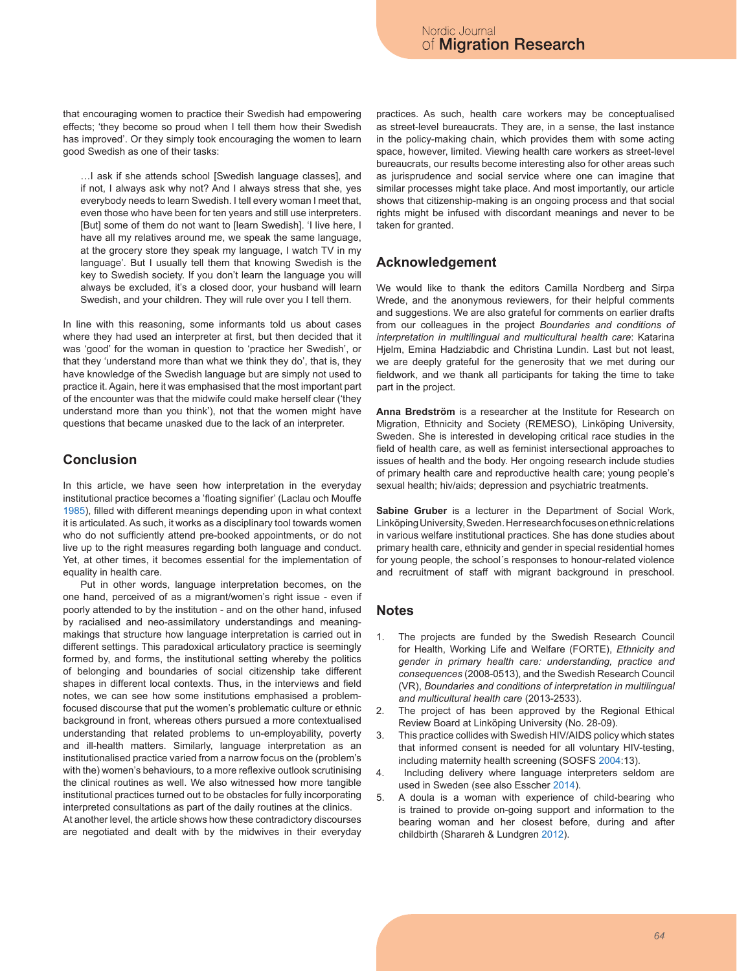that encouraging women to practice their Swedish had empowering effects; 'they become so proud when I tell them how their Swedish has improved'. Or they simply took encouraging the women to learn good Swedish as one of their tasks:

…I ask if she attends school [Swedish language classes], and if not, I always ask why not? And I always stress that she, yes everybody needs to learn Swedish. I tell every woman I meet that, even those who have been for ten years and still use interpreters. [But] some of them do not want to [learn Swedish]. 'I live here, I have all my relatives around me, we speak the same language, at the grocery store they speak my language, I watch TV in my language'. But I usually tell them that knowing Swedish is the key to Swedish society. If you don't learn the language you will always be excluded, it's a closed door, your husband will learn Swedish, and your children. They will rule over you I tell them.

In line with this reasoning, some informants told us about cases where they had used an interpreter at first, but then decided that it was 'good' for the woman in question to 'practice her Swedish', or that they 'understand more than what we think they do', that is, they have knowledge of the Swedish language but are simply not used to practice it. Again, here it was emphasised that the most important part of the encounter was that the midwife could make herself clear ('they understand more than you think'), not that the women might have questions that became unasked due to the lack of an interpreter.

# **Conclusion**

In this article, we have seen how interpretation in the everyday institutional practice becomes a 'floating signifier' (Laclau och Mouffe 1985), filled with different meanings depending upon in what context it is articulated. As such, it works as a disciplinary tool towards women who do not sufficiently attend pre-booked appointments, or do not live up to the right measures regarding both language and conduct. Yet, at other times, it becomes essential for the implementation of equality in health care.

Put in other words, language interpretation becomes, on the one hand, perceived of as a migrant/women's right issue - even if poorly attended to by the institution - and on the other hand, infused by racialised and neo-assimilatory understandings and meaningmakings that structure how language interpretation is carried out in different settings. This paradoxical articulatory practice is seemingly formed by, and forms, the institutional setting whereby the politics of belonging and boundaries of social citizenship take different shapes in different local contexts. Thus, in the interviews and field notes, we can see how some institutions emphasised a problemfocused discourse that put the women's problematic culture or ethnic background in front, whereas others pursued a more contextualised understanding that related problems to un-employability, poverty and ill-health matters. Similarly, language interpretation as an institutionalised practice varied from a narrow focus on the (problem's with the) women's behaviours, to a more reflexive outlook scrutinising the clinical routines as well. We also witnessed how more tangible institutional practices turned out to be obstacles for fully incorporating interpreted consultations as part of the daily routines at the clinics.

At another level, the article shows how these contradictory discourses are negotiated and dealt with by the midwives in their everyday practices. As such, health care workers may be conceptualised as street-level bureaucrats. They are, in a sense, the last instance in the policy-making chain, which provides them with some acting space, however, limited. Viewing health care workers as street-level bureaucrats, our results become interesting also for other areas such as jurisprudence and social service where one can imagine that similar processes might take place. And most importantly, our article shows that citizenship-making is an ongoing process and that social rights might be infused with discordant meanings and never to be taken for granted.

# **Acknowledgement**

We would like to thank the editors Camilla Nordberg and Sirpa Wrede, and the anonymous reviewers, for their helpful comments and suggestions. We are also grateful for comments on earlier drafts from our colleagues in the project *Boundaries and conditions of interpretation in multilingual and multicultural health care*: Katarina Hjelm, Emina Hadziabdic and Christina Lundin. Last but not least, we are deeply grateful for the generosity that we met during our fieldwork, and we thank all participants for taking the time to take part in the project.

**Anna Bredström** is a researcher at the Institute for Research on Migration, Ethnicity and Society (REMESO), Linköping University, Sweden. She is interested in developing critical race studies in the field of health care, as well as feminist intersectional approaches to issues of health and the body. Her ongoing research include studies of primary health care and reproductive health care; young people's sexual health; hiv/aids; depression and psychiatric treatments.

**Sabine Gruber** is a lecturer in the Department of Social Work, Linköping University, Sweden. Her research focuses on ethnic relations in various welfare institutional practices. She has done studies about primary health care, ethnicity and gender in special residential homes for young people, the school´s responses to honour-related violence and recruitment of staff with migrant background in preschool.

### **Notes**

- 1. The projects are funded by the Swedish Research Council for Health, Working Life and Welfare (FORTE), *Ethnicity and gender in primary health care: understanding, practice and consequences* (2008-0513), and the Swedish Research Council (VR), *Boundaries and conditions of interpretation in multilingual and multicultural health care* (2013-2533).
- 2. The project of has been approved by the Regional Ethical Review Board at Linköping University (No. 28-09).
- 3. This practice collides with Swedish HIV/AIDS policy which states that informed consent is needed for all voluntary HIV-testing, including maternity health screening (SOSFS 2004:13).
- 4. Including delivery where language interpreters seldom are used in Sweden (see also Esscher 2014).
- 5. A doula is a woman with experience of child-bearing who is trained to provide on-going support and information to the bearing woman and her closest before, during and after childbirth (Sharareh & Lundgren 2012).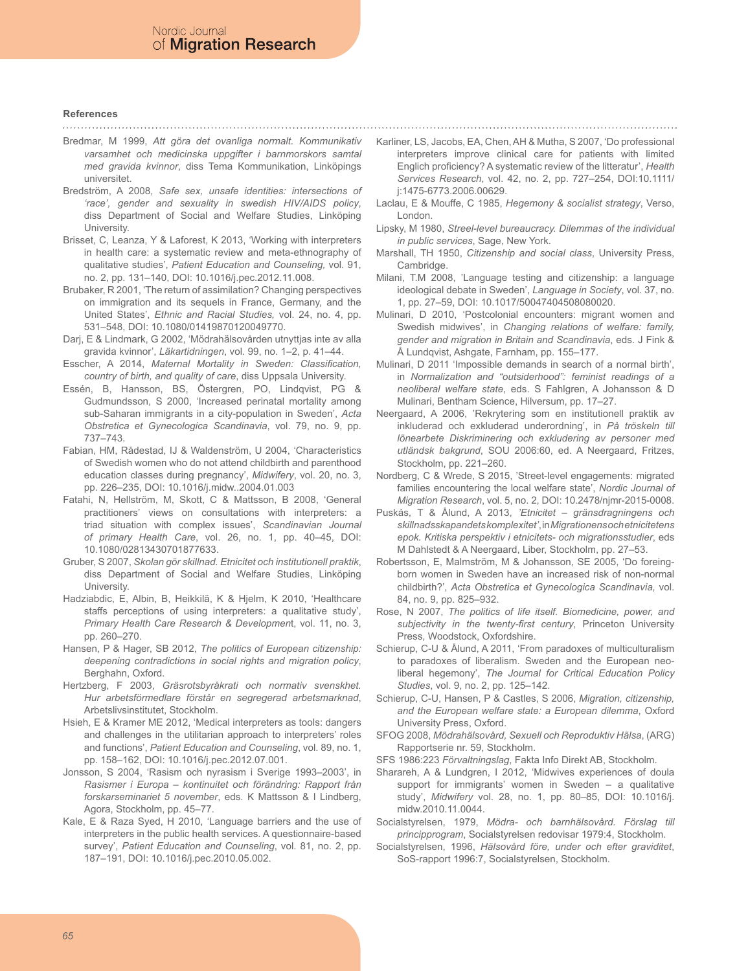#### **References**

- Bredmar, M 1999, *Att göra det ovanliga normalt. Kommunikativ varsamhet och medicinska uppgifter i barnmorskors samtal med gravida kvinnor*, diss Tema Kommunikation, Linköpings
- universitet. Bredström, A 2008, *Safe sex, unsafe identities: intersections of 'race', gender and sexuality in swedish HIV/AIDS policy*, diss Department of Social and Welfare Studies, Linköping University.
- Brisset, C, Leanza, Y & Laforest, K 2013, 'Working with interpreters in health care: a systematic review and meta-ethnography of qualitative studies', *Patient Education and Counseling,* vol. 91, no. 2, pp. 131–140, DOI: 10.1016/j.pec.2012.11.008.
- Brubaker, R 2001, 'The return of assimilation? Changing perspectives on immigration and its sequels in France, Germany, and the United States', *Ethnic and Racial Studies,* vol. 24, no. 4, pp. 531–548, DOI: 10.1080/01419870120049770.
- Darj, E & Lindmark, G 2002, 'Mödrahälsovården utnyttjas inte av alla gravida kvinnor', *Läkartidningen*, vol. 99, no. 1–2, p. 41–44.
- Esscher, A 2014, *Maternal Mortality in Sweden: Classification, country of birth, and quality of care*, diss Uppsala University.
- Essén, B, Hansson, BS, Östergren, PO, Lindqvist, PG & Gudmundsson, S 2000, 'Increased perinatal mortality among sub-Saharan immigrants in a city-population in Sweden', *Acta Obstretica et Gynecologica Scandinavia*, vol. 79, no. 9, pp. 737–743.
- Fabian, HM, Rådestad, IJ & Waldenström, U 2004, 'Characteristics of Swedish women who do not attend childbirth and parenthood education classes during pregnancy', *Midwifery*, vol. 20, no. 3, pp. 226–235, DOI: 10.1016/j.midw..2004.01.003
- Fatahi, N, Hellström, M, Skott, C & Mattsson, B 2008, 'General practitioners' views on consultations with interpreters: a triad situation with complex issues', *Scandinavian Journal of primary Health Care*, vol. 26, no. 1, pp. 40–45, DOI: 10.1080/02813430701877633.
- Gruber, S 2007, *Skolan gör skillnad. Etnicitet och institutionell praktik*, diss Department of Social and Welfare Studies, Linköping University.
- Hadziabdic, E, Albin, B, Heikkilä, K & Hjelm, K 2010, 'Healthcare staffs perceptions of using interpreters: a qualitative study', *Primary Health Care Research & Developmen*t, vol. 11, no. 3, pp. 260–270.
- Hansen, P & Hager, SB 2012, *The politics of European citizenship: deepening contradictions in social rights and migration policy*, Berghahn, Oxford.
- Hertzberg, F 2003, *Gräsrotsbyråkrati och normativ svenskhet. Hur arbetsförmedlare förstår en segregerad arbetsmarknad*, Arbetslivsinstitutet, Stockholm.
- Hsieh, E & Kramer ME 2012, 'Medical interpreters as tools: dangers and challenges in the utilitarian approach to interpreters' roles and functions', *Patient Education and Counseling*, vol. 89, no. 1, pp. 158–162, DOI: 10.1016/j.pec.2012.07.001.
- Jonsson, S 2004, 'Rasism och nyrasism i Sverige 1993–2003', in *Rasismer i Europa – kontinuitet och förändring: Rapport från forskarseminariet 5 november*, eds. K Mattsson & I Lindberg, Agora, Stockholm, pp. 45–77.
- Kale, E & Raza Syed, H 2010, 'Language barriers and the use of interpreters in the public health services. A questionnaire-based survey', *Patient Education and Counseling*, vol. 81, no. 2, pp. 187–191, DOI: 10.1016/j.pec.2010.05.002.
- Karliner, LS, Jacobs, EA, Chen, AH & Mutha, S 2007, 'Do professional interpreters improve clinical care for patients with limited Englich proficiency? A systematic review of the litteratur', *Health Services Research*, vol. 42, no. 2, pp. 727–254, DOI:10.1111/ j:1475-6773.2006.00629.
- Laclau, E & Mouffe, C 1985, *Hegemony & socialist strategy*, Verso, London.
- Lipsky, M 1980, *Streel-level bureaucracy. Dilemmas of the individual in public services*, Sage, New York.
- Marshall, TH 1950, *Citizenship and social class*, University Press, Cambridge.
- Milani, T.M 2008, 'Language testing and citizenship: a language ideological debate in Sweden', *Language in Society*, vol. 37, no. 1, pp. 27–59, DOI: 10.1017/50047404508080020.
- Mulinari, D 2010, 'Postcolonial encounters: migrant women and Swedish midwives', in *Changing relations of welfare: family, gender and migration in Britain and Scandinavia*, eds. J Fink & Å Lundqvist, Ashgate, Farnham, pp. 155–177.
- Mulinari, D 2011 'Impossible demands in search of a normal birth', in *Normalization and "outsiderhood": feminist readings of a neoliberal welfare state*, eds. S Fahlgren, A Johansson & D Mulinari, Bentham Science, Hilversum, pp. 17–27.
- Neergaard, A 2006, 'Rekrytering som en institutionell praktik av inkluderad och exkluderad underordning', in *På tröskeln till lönearbete Diskriminering och exkludering av personer med utländsk bakgrund*, SOU 2006:60, ed. A Neergaard, Fritzes, Stockholm, pp. 221–260.
- Nordberg, C & Wrede, S 2015, 'Street-level engagements: migrated families encountering the local welfare state', *Nordic Journal of Migration Research*, vol. 5, no. 2, DOI: 10.2478/njmr-2015-0008.
- Puskás, T & Ålund, A 2013, *'Etnicitet gränsdragningens och skillnadsskapandets komplexitet'*, in *Migrationens och etnicitetens epok. Kritiska perspektiv i etnicitets- och migrationsstudier*, eds M Dahlstedt & A Neergaard, Liber, Stockholm, pp. 27–53.
- Robertsson, E, Malmström, M & Johansson, SE 2005, 'Do foreingborn women in Sweden have an increased risk of non-normal childbirth?', *Acta Obstretica et Gynecologica Scandinavia,* vol. 84, no. 9, pp. 825–932.
- Rose, N 2007, *The politics of life itself. Biomedicine, power, and subjectivity in the twenty-first century*, Princeton University Press, Woodstock, Oxfordshire.
- Schierup, C-U & Ålund, A 2011, 'From paradoxes of multiculturalism to paradoxes of liberalism. Sweden and the European neoliberal hegemony', *The Journal for Critical Education Policy Studies*, vol. 9, no. 2, pp. 125–142.
- Schierup, C-U, Hansen, P & Castles, S 2006, *Migration, citizenship, and the European welfare state: a European dilemma*, Oxford University Press, Oxford.
- SFOG 2008, *Mödrahälsovård, Sexuell och Reproduktiv Hälsa*, (ARG) Rapportserie nr. 59, Stockholm.
- SFS 1986:223 *Förvaltningslag*, Fakta Info Direkt AB, Stockholm.
- Sharareh, A & Lundgren, I 2012, 'Midwives experiences of doula support for immigrants' women in Sweden – a qualitative study', *Midwifery* vol. 28, no. 1, pp. 80–85, DOI: 10.1016/j. midw.2010.11.0044.
- Socialstyrelsen, 1979, *Mödra- och barnhälsovård. Förslag till principprogram*, Socialstyrelsen redovisar 1979:4, Stockholm.
- Socialstyrelsen, 1996, *Hälsovård före, under och efter graviditet*, SoS-rapport 1996:7, Socialstyrelsen, Stockholm.